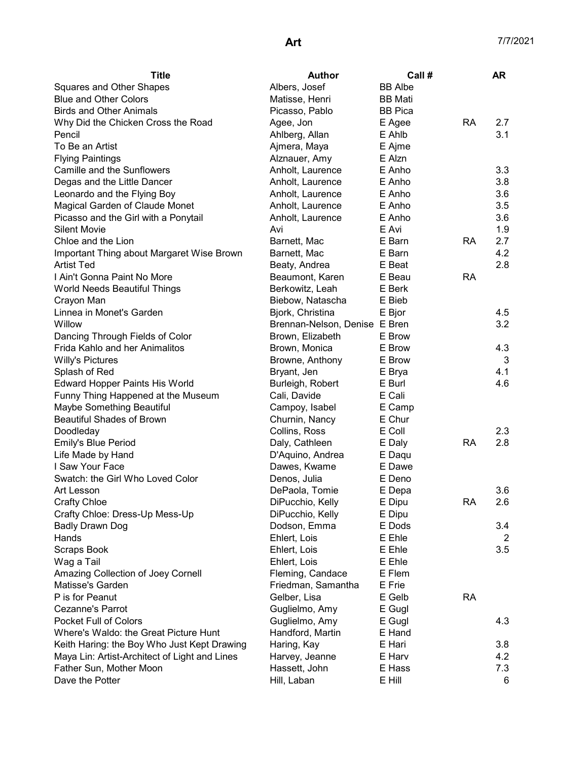| Title                                         | <b>Author</b>                 | Call#          |           | <b>AR</b> |
|-----------------------------------------------|-------------------------------|----------------|-----------|-----------|
| <b>Squares and Other Shapes</b>               | Albers, Josef                 | <b>BB</b> Albe |           |           |
| <b>Blue and Other Colors</b>                  | Matisse, Henri                | <b>BB</b> Mati |           |           |
| <b>Birds and Other Animals</b>                | Picasso, Pablo                | <b>BB</b> Pica |           |           |
| Why Did the Chicken Cross the Road            | Agee, Jon                     | E Agee         | <b>RA</b> | 2.7       |
| Pencil                                        | Ahlberg, Allan                | E Ahlb         |           | 3.1       |
| To Be an Artist                               | Ajmera, Maya                  | E Ajme         |           |           |
| <b>Flying Paintings</b>                       | Alznauer, Amy                 | E Alzn         |           |           |
| Camille and the Sunflowers                    | Anholt, Laurence              | E Anho         |           | 3.3       |
| Degas and the Little Dancer                   | Anholt, Laurence              | E Anho         |           | 3.8       |
| Leonardo and the Flying Boy                   | Anholt, Laurence              | E Anho         |           | 3.6       |
| Magical Garden of Claude Monet                | Anholt, Laurence              | E Anho         |           | 3.5       |
| Picasso and the Girl with a Ponytail          | Anholt, Laurence              | E Anho         |           | 3.6       |
| <b>Silent Movie</b>                           | Avi                           | E Avi          |           | 1.9       |
| Chloe and the Lion                            | Barnett, Mac                  | E Barn         | <b>RA</b> | 2.7       |
| Important Thing about Margaret Wise Brown     | Barnett, Mac                  | E Barn         |           | 4.2       |
| <b>Artist Ted</b>                             | Beaty, Andrea                 | E Beat         |           | 2.8       |
| I Ain't Gonna Paint No More                   | Beaumont, Karen               | E Beau         | RA        |           |
| World Needs Beautiful Things                  | Berkowitz, Leah               | E Berk         |           |           |
| Crayon Man                                    | Biebow, Natascha              | E Bieb         |           |           |
| Linnea in Monet's Garden                      | Bjork, Christina              | E Bjor         |           | 4.5       |
| Willow                                        | Brennan-Nelson, Denise E Bren |                |           | 3.2       |
| Dancing Through Fields of Color               | Brown, Elizabeth              | E Brow         |           |           |
| Frida Kahlo and her Animalitos                | Brown, Monica                 | E Brow         |           | 4.3       |
| <b>Willy's Pictures</b>                       | Browne, Anthony               | E Brow         |           | 3         |
| Splash of Red                                 | Bryant, Jen                   | E Brya         |           | 4.1       |
| <b>Edward Hopper Paints His World</b>         | Burleigh, Robert              | E Burl         |           | 4.6       |
| Funny Thing Happened at the Museum            | Cali, Davide                  | E Cali         |           |           |
| Maybe Something Beautiful                     | Campoy, Isabel                | E Camp         |           |           |
| <b>Beautiful Shades of Brown</b>              | Churnin, Nancy                | E Chur         |           |           |
| Doodleday                                     | Collins, Ross                 | E Coll         |           | 2.3       |
| Emily's Blue Period                           | Daly, Cathleen                | E Daly         | <b>RA</b> | 2.8       |
| Life Made by Hand                             | D'Aquino, Andrea              | E Daqu         |           |           |
| I Saw Your Face                               | Dawes, Kwame                  | E Dawe         |           |           |
| Swatch: the Girl Who Loved Color              | Denos, Julia                  | E Deno         |           |           |
| Art Lesson                                    | DePaola, Tomie                | E Depa         |           | 3.6       |
| <b>Crafty Chloe</b>                           | DiPucchio, Kelly              | E Dipu         | <b>RA</b> | 2.6       |
| Crafty Chloe: Dress-Up Mess-Up                | DiPucchio, Kelly              | E Dipu         |           |           |
| <b>Badly Drawn Dog</b>                        | Dodson, Emma                  | E Dods         |           | 3.4       |
| Hands                                         | Ehlert, Lois                  | E Ehle         |           | 2         |
| Scraps Book                                   | Ehlert, Lois                  | E Ehle         |           | 3.5       |
| Wag a Tail                                    | Ehlert, Lois                  | E Ehle         |           |           |
| Amazing Collection of Joey Cornell            | Fleming, Candace              | E Flem         |           |           |
| Matisse's Garden                              | Friedman, Samantha            | E Frie         |           |           |
| P is for Peanut                               | Gelber, Lisa                  | E Gelb         | <b>RA</b> |           |
| Cezanne's Parrot                              | Guglielmo, Amy                | E Gugl         |           |           |
| <b>Pocket Full of Colors</b>                  | Guglielmo, Amy                | E Gugl         |           | 4.3       |
| Where's Waldo: the Great Picture Hunt         | Handford, Martin              | E Hand         |           |           |
| Keith Haring: the Boy Who Just Kept Drawing   | Haring, Kay                   | E Hari         |           | 3.8       |
| Maya Lin: Artist-Architect of Light and Lines | Harvey, Jeanne                | E Harv         |           | 4.2       |
| Father Sun, Mother Moon                       | Hassett, John                 | E Hass         |           | 7.3       |
| Dave the Potter                               | Hill, Laban                   | E Hill         |           | 6         |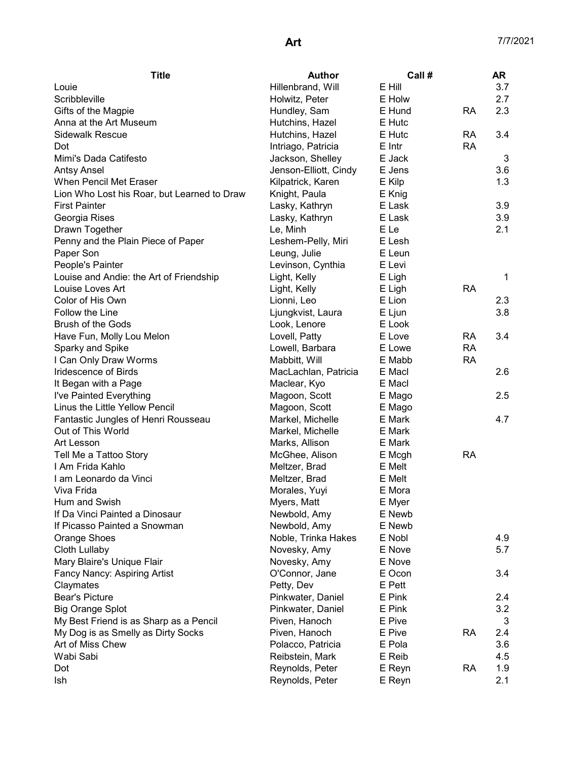| <b>Title</b>                                | <b>Author</b>         | Call # |           | <b>AR</b> |
|---------------------------------------------|-----------------------|--------|-----------|-----------|
| Louie                                       | Hillenbrand, Will     | E Hill |           | 3.7       |
| Scribbleville                               | Holwitz, Peter        | E Holw |           | 2.7       |
| Gifts of the Magpie                         | Hundley, Sam          | E Hund | RA        | 2.3       |
| Anna at the Art Museum                      | Hutchins, Hazel       | E Hutc |           |           |
| <b>Sidewalk Rescue</b>                      | Hutchins, Hazel       | E Hutc | <b>RA</b> | 3.4       |
| Dot                                         | Intriago, Patricia    | E Intr | <b>RA</b> |           |
| Mimi's Dada Catifesto                       | Jackson, Shelley      | E Jack |           | 3         |
| <b>Antsy Ansel</b>                          | Jenson-Elliott, Cindy | E Jens |           | 3.6       |
| <b>When Pencil Met Eraser</b>               | Kilpatrick, Karen     | E Kilp |           | 1.3       |
| Lion Who Lost his Roar, but Learned to Draw | Knight, Paula         | E Knig |           |           |
| <b>First Painter</b>                        | Lasky, Kathryn        | E Lask |           | 3.9       |
| Georgia Rises                               | Lasky, Kathryn        | E Lask |           | 3.9       |
| Drawn Together                              | Le, Minh              | E Le   |           | 2.1       |
| Penny and the Plain Piece of Paper          | Leshem-Pelly, Miri    | E Lesh |           |           |
| Paper Son                                   | Leung, Julie          | E Leun |           |           |
| People's Painter                            | Levinson, Cynthia     | E Levi |           |           |
| Louise and Andie: the Art of Friendship     | Light, Kelly          | E Ligh |           | 1         |
| Louise Loves Art                            | Light, Kelly          | E Ligh | <b>RA</b> |           |
| Color of His Own                            | Lionni, Leo           | E Lion |           | 2.3       |
| Follow the Line                             | Ljungkvist, Laura     | E Ljun |           | 3.8       |
| <b>Brush of the Gods</b>                    | Look, Lenore          | E Look |           |           |
| Have Fun, Molly Lou Melon                   | Lovell, Patty         | E Love | <b>RA</b> | 3.4       |
| Sparky and Spike                            | Lowell, Barbara       | E Lowe | <b>RA</b> |           |
| I Can Only Draw Worms                       | Mabbitt, Will         | E Mabb | <b>RA</b> |           |
| Iridescence of Birds                        | MacLachlan, Patricia  | E Macl |           | 2.6       |
| It Began with a Page                        | Maclear, Kyo          | E Macl |           |           |
| I've Painted Everything                     | Magoon, Scott         | E Mago |           | 2.5       |
| Linus the Little Yellow Pencil              | Magoon, Scott         | E Mago |           |           |
| Fantastic Jungles of Henri Rousseau         | Markel, Michelle      | E Mark |           | 4.7       |
| Out of This World                           | Markel, Michelle      | E Mark |           |           |
| Art Lesson                                  | Marks, Allison        | E Mark |           |           |
| Tell Me a Tattoo Story                      | McGhee, Alison        | E Mcgh | <b>RA</b> |           |
| I Am Frida Kahlo                            | Meltzer, Brad         | E Melt |           |           |
| I am Leonardo da Vinci                      | Meltzer, Brad         | E Melt |           |           |
| Viva Frida                                  | Morales, Yuyi         | E Mora |           |           |
| Hum and Swish                               | Myers, Matt           | E Myer |           |           |
| If Da Vinci Painted a Dinosaur              | Newbold, Amy          | E Newb |           |           |
| If Picasso Painted a Snowman                | Newbold, Amy          | E Newb |           |           |
| Orange Shoes                                | Noble, Trinka Hakes   | E Nobl |           | 4.9       |
| Cloth Lullaby                               | Novesky, Amy          | E Nove |           | 5.7       |
| Mary Blaire's Unique Flair                  | Novesky, Amy          | E Nove |           |           |
| Fancy Nancy: Aspiring Artist                | O'Connor, Jane        | E Ocon |           | 3.4       |
| Claymates                                   | Petty, Dev            | E Pett |           |           |
| Bear's Picture                              | Pinkwater, Daniel     | E Pink |           | 2.4       |
| <b>Big Orange Splot</b>                     | Pinkwater, Daniel     | E Pink |           | 3.2       |
| My Best Friend is as Sharp as a Pencil      | Piven, Hanoch         | E Pive |           | 3         |
| My Dog is as Smelly as Dirty Socks          | Piven, Hanoch         | E Pive | <b>RA</b> | 2.4       |
| Art of Miss Chew                            | Polacco, Patricia     | E Pola |           | 3.6       |
| Wabi Sabi                                   | Reibstein, Mark       | E Reib |           | 4.5       |
| Dot                                         |                       |        | <b>RA</b> | 1.9       |
| Ish                                         | Reynolds, Peter       | E Reyn |           | 2.1       |
|                                             | Reynolds, Peter       | E Reyn |           |           |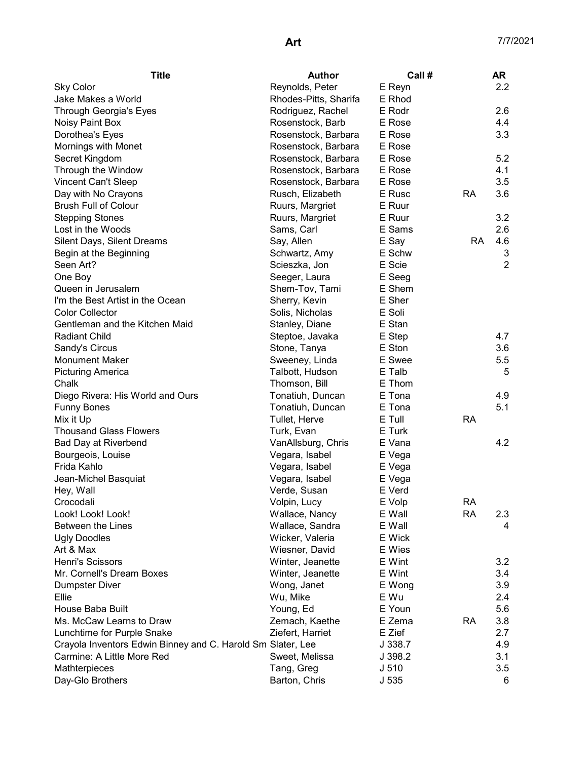| Reynolds, Peter<br>2.2<br><b>Sky Color</b><br>E Reyn<br>Jake Makes a World<br>Rhodes-Pitts, Sharifa<br>E Rhod<br>E Rodr<br>2.6<br>Through Georgia's Eyes<br>Rodriguez, Rachel<br>4.4<br>Rosenstock, Barb<br>E Rose<br>Noisy Paint Box<br>E Rose<br>3.3<br>Dorothea's Eyes<br>Rosenstock, Barbara<br>Mornings with Monet<br>E Rose<br>Rosenstock, Barbara<br>E Rose<br>5.2<br>Secret Kingdom<br>Rosenstock, Barbara<br>Through the Window<br>E Rose<br>4.1<br>Rosenstock, Barbara<br>3.5<br>E Rose<br>Vincent Can't Sleep<br>Rosenstock, Barbara<br>E Rusc<br><b>RA</b><br>3.6<br>Day with No Crayons<br>Rusch, Elizabeth<br><b>Brush Full of Colour</b><br>E Ruur<br>Ruurs, Margriet<br>E Ruur<br>3.2<br><b>Stepping Stones</b><br>Ruurs, Margriet<br>E Sams<br>2.6<br>Lost in the Woods<br>Sams, Carl<br>Silent Days, Silent Dreams<br>E Say<br><b>RA</b><br>4.6<br>Say, Allen<br>E Schw<br>3<br>Begin at the Beginning<br>Schwartz, Amy<br>$\overline{2}$<br>E Scie<br>Seen Art?<br>Scieszka, Jon<br>One Boy<br>Seeger, Laura<br>E Seeg<br>Queen in Jerusalem<br>E Shem<br>Shem-Tov, Tami<br>E Sher<br>I'm the Best Artist in the Ocean<br>Sherry, Kevin<br><b>Color Collector</b><br>E Soli<br>Solis, Nicholas<br>Gentleman and the Kitchen Maid<br>E Stan<br>Stanley, Diane<br><b>Radiant Child</b><br>4.7<br>Steptoe, Javaka<br>E Step<br>E Ston<br>3.6<br>Sandy's Circus<br>Stone, Tanya<br><b>Monument Maker</b><br>Sweeney, Linda<br>E Swee<br>5.5<br>E Talb<br>5<br><b>Picturing America</b><br>Talbott, Hudson<br>Chalk<br>Thomson, Bill<br>E Thom<br>E Tona<br>4.9<br>Diego Rivera: His World and Ours<br>Tonatiuh, Duncan<br>5.1<br>E Tona<br><b>Funny Bones</b><br>Tonatiuh, Duncan<br>Tullet, Herve<br>E Tull<br><b>RA</b><br>Mix it Up<br><b>Thousand Glass Flowers</b><br>E Turk<br>Turk, Evan<br>4.2<br><b>Bad Day at Riverbend</b><br>VanAllsburg, Chris<br>E Vana<br>Bourgeois, Louise<br>Vegara, Isabel<br>E Vega<br>Frida Kahlo<br>Vegara, Isabel<br>E Vega<br>Jean-Michel Basquiat<br>Vegara, Isabel<br>E Vega<br>E Verd<br>Verde, Susan<br>Hey, Wall<br>E Volp<br>RA<br>Crocodali<br>Volpin, Lucy<br>Look! Look! Look!<br><b>RA</b><br>Wallace, Nancy<br>E Wall<br>2.3<br>E Wall<br><b>Between the Lines</b><br>Wallace, Sandra<br>4<br><b>Ugly Doodles</b><br>Wicker, Valeria<br>E Wick<br>Art & Max<br>Wiesner, David<br>E Wies<br><b>Henri's Scissors</b><br>3.2<br>Winter, Jeanette<br>E Wint<br>Mr. Cornell's Dream Boxes<br>Winter, Jeanette<br>3.4<br>E Wint<br>Wong, Janet<br>3.9<br><b>Dumpster Diver</b><br>E Wong<br>Ellie<br>E Wu<br>2.4<br>Wu, Mike<br>House Baba Built<br>E Youn<br>Young, Ed<br>5.6<br>Ms. McCaw Learns to Draw<br>E Zema<br><b>RA</b><br>3.8<br>Zemach, Kaethe<br>Ziefert, Harriet<br>E Zief<br>2.7<br>Lunchtime for Purple Snake<br>Crayola Inventors Edwin Binney and C. Harold Smi Slater, Lee<br>J 338.7<br>4.9<br>Carmine: A Little More Red<br>Sweet, Melissa<br>J 398.2<br>3.1<br>Mathterpieces<br>3.5<br>Tang, Greg<br>J 510<br>Barton, Chris<br>J 535<br>Day-Glo Brothers<br>6 | <b>Title</b> | <b>Author</b> | Call # | AR |
|------------------------------------------------------------------------------------------------------------------------------------------------------------------------------------------------------------------------------------------------------------------------------------------------------------------------------------------------------------------------------------------------------------------------------------------------------------------------------------------------------------------------------------------------------------------------------------------------------------------------------------------------------------------------------------------------------------------------------------------------------------------------------------------------------------------------------------------------------------------------------------------------------------------------------------------------------------------------------------------------------------------------------------------------------------------------------------------------------------------------------------------------------------------------------------------------------------------------------------------------------------------------------------------------------------------------------------------------------------------------------------------------------------------------------------------------------------------------------------------------------------------------------------------------------------------------------------------------------------------------------------------------------------------------------------------------------------------------------------------------------------------------------------------------------------------------------------------------------------------------------------------------------------------------------------------------------------------------------------------------------------------------------------------------------------------------------------------------------------------------------------------------------------------------------------------------------------------------------------------------------------------------------------------------------------------------------------------------------------------------------------------------------------------------------------------------------------------------------------------------------------------------------------------------------------------------------------------------------------------------------------------------------------------------------------------------------------------------------------------------------------------------------------------------------------------------------------------------------------------------------------------------------------------------------------------------------------------------------------------------------------------------------------------------|--------------|---------------|--------|----|
|                                                                                                                                                                                                                                                                                                                                                                                                                                                                                                                                                                                                                                                                                                                                                                                                                                                                                                                                                                                                                                                                                                                                                                                                                                                                                                                                                                                                                                                                                                                                                                                                                                                                                                                                                                                                                                                                                                                                                                                                                                                                                                                                                                                                                                                                                                                                                                                                                                                                                                                                                                                                                                                                                                                                                                                                                                                                                                                                                                                                                                                |              |               |        |    |
|                                                                                                                                                                                                                                                                                                                                                                                                                                                                                                                                                                                                                                                                                                                                                                                                                                                                                                                                                                                                                                                                                                                                                                                                                                                                                                                                                                                                                                                                                                                                                                                                                                                                                                                                                                                                                                                                                                                                                                                                                                                                                                                                                                                                                                                                                                                                                                                                                                                                                                                                                                                                                                                                                                                                                                                                                                                                                                                                                                                                                                                |              |               |        |    |
|                                                                                                                                                                                                                                                                                                                                                                                                                                                                                                                                                                                                                                                                                                                                                                                                                                                                                                                                                                                                                                                                                                                                                                                                                                                                                                                                                                                                                                                                                                                                                                                                                                                                                                                                                                                                                                                                                                                                                                                                                                                                                                                                                                                                                                                                                                                                                                                                                                                                                                                                                                                                                                                                                                                                                                                                                                                                                                                                                                                                                                                |              |               |        |    |
|                                                                                                                                                                                                                                                                                                                                                                                                                                                                                                                                                                                                                                                                                                                                                                                                                                                                                                                                                                                                                                                                                                                                                                                                                                                                                                                                                                                                                                                                                                                                                                                                                                                                                                                                                                                                                                                                                                                                                                                                                                                                                                                                                                                                                                                                                                                                                                                                                                                                                                                                                                                                                                                                                                                                                                                                                                                                                                                                                                                                                                                |              |               |        |    |
|                                                                                                                                                                                                                                                                                                                                                                                                                                                                                                                                                                                                                                                                                                                                                                                                                                                                                                                                                                                                                                                                                                                                                                                                                                                                                                                                                                                                                                                                                                                                                                                                                                                                                                                                                                                                                                                                                                                                                                                                                                                                                                                                                                                                                                                                                                                                                                                                                                                                                                                                                                                                                                                                                                                                                                                                                                                                                                                                                                                                                                                |              |               |        |    |
|                                                                                                                                                                                                                                                                                                                                                                                                                                                                                                                                                                                                                                                                                                                                                                                                                                                                                                                                                                                                                                                                                                                                                                                                                                                                                                                                                                                                                                                                                                                                                                                                                                                                                                                                                                                                                                                                                                                                                                                                                                                                                                                                                                                                                                                                                                                                                                                                                                                                                                                                                                                                                                                                                                                                                                                                                                                                                                                                                                                                                                                |              |               |        |    |
|                                                                                                                                                                                                                                                                                                                                                                                                                                                                                                                                                                                                                                                                                                                                                                                                                                                                                                                                                                                                                                                                                                                                                                                                                                                                                                                                                                                                                                                                                                                                                                                                                                                                                                                                                                                                                                                                                                                                                                                                                                                                                                                                                                                                                                                                                                                                                                                                                                                                                                                                                                                                                                                                                                                                                                                                                                                                                                                                                                                                                                                |              |               |        |    |
|                                                                                                                                                                                                                                                                                                                                                                                                                                                                                                                                                                                                                                                                                                                                                                                                                                                                                                                                                                                                                                                                                                                                                                                                                                                                                                                                                                                                                                                                                                                                                                                                                                                                                                                                                                                                                                                                                                                                                                                                                                                                                                                                                                                                                                                                                                                                                                                                                                                                                                                                                                                                                                                                                                                                                                                                                                                                                                                                                                                                                                                |              |               |        |    |
|                                                                                                                                                                                                                                                                                                                                                                                                                                                                                                                                                                                                                                                                                                                                                                                                                                                                                                                                                                                                                                                                                                                                                                                                                                                                                                                                                                                                                                                                                                                                                                                                                                                                                                                                                                                                                                                                                                                                                                                                                                                                                                                                                                                                                                                                                                                                                                                                                                                                                                                                                                                                                                                                                                                                                                                                                                                                                                                                                                                                                                                |              |               |        |    |
|                                                                                                                                                                                                                                                                                                                                                                                                                                                                                                                                                                                                                                                                                                                                                                                                                                                                                                                                                                                                                                                                                                                                                                                                                                                                                                                                                                                                                                                                                                                                                                                                                                                                                                                                                                                                                                                                                                                                                                                                                                                                                                                                                                                                                                                                                                                                                                                                                                                                                                                                                                                                                                                                                                                                                                                                                                                                                                                                                                                                                                                |              |               |        |    |
|                                                                                                                                                                                                                                                                                                                                                                                                                                                                                                                                                                                                                                                                                                                                                                                                                                                                                                                                                                                                                                                                                                                                                                                                                                                                                                                                                                                                                                                                                                                                                                                                                                                                                                                                                                                                                                                                                                                                                                                                                                                                                                                                                                                                                                                                                                                                                                                                                                                                                                                                                                                                                                                                                                                                                                                                                                                                                                                                                                                                                                                |              |               |        |    |
|                                                                                                                                                                                                                                                                                                                                                                                                                                                                                                                                                                                                                                                                                                                                                                                                                                                                                                                                                                                                                                                                                                                                                                                                                                                                                                                                                                                                                                                                                                                                                                                                                                                                                                                                                                                                                                                                                                                                                                                                                                                                                                                                                                                                                                                                                                                                                                                                                                                                                                                                                                                                                                                                                                                                                                                                                                                                                                                                                                                                                                                |              |               |        |    |
|                                                                                                                                                                                                                                                                                                                                                                                                                                                                                                                                                                                                                                                                                                                                                                                                                                                                                                                                                                                                                                                                                                                                                                                                                                                                                                                                                                                                                                                                                                                                                                                                                                                                                                                                                                                                                                                                                                                                                                                                                                                                                                                                                                                                                                                                                                                                                                                                                                                                                                                                                                                                                                                                                                                                                                                                                                                                                                                                                                                                                                                |              |               |        |    |
|                                                                                                                                                                                                                                                                                                                                                                                                                                                                                                                                                                                                                                                                                                                                                                                                                                                                                                                                                                                                                                                                                                                                                                                                                                                                                                                                                                                                                                                                                                                                                                                                                                                                                                                                                                                                                                                                                                                                                                                                                                                                                                                                                                                                                                                                                                                                                                                                                                                                                                                                                                                                                                                                                                                                                                                                                                                                                                                                                                                                                                                |              |               |        |    |
|                                                                                                                                                                                                                                                                                                                                                                                                                                                                                                                                                                                                                                                                                                                                                                                                                                                                                                                                                                                                                                                                                                                                                                                                                                                                                                                                                                                                                                                                                                                                                                                                                                                                                                                                                                                                                                                                                                                                                                                                                                                                                                                                                                                                                                                                                                                                                                                                                                                                                                                                                                                                                                                                                                                                                                                                                                                                                                                                                                                                                                                |              |               |        |    |
|                                                                                                                                                                                                                                                                                                                                                                                                                                                                                                                                                                                                                                                                                                                                                                                                                                                                                                                                                                                                                                                                                                                                                                                                                                                                                                                                                                                                                                                                                                                                                                                                                                                                                                                                                                                                                                                                                                                                                                                                                                                                                                                                                                                                                                                                                                                                                                                                                                                                                                                                                                                                                                                                                                                                                                                                                                                                                                                                                                                                                                                |              |               |        |    |
|                                                                                                                                                                                                                                                                                                                                                                                                                                                                                                                                                                                                                                                                                                                                                                                                                                                                                                                                                                                                                                                                                                                                                                                                                                                                                                                                                                                                                                                                                                                                                                                                                                                                                                                                                                                                                                                                                                                                                                                                                                                                                                                                                                                                                                                                                                                                                                                                                                                                                                                                                                                                                                                                                                                                                                                                                                                                                                                                                                                                                                                |              |               |        |    |
|                                                                                                                                                                                                                                                                                                                                                                                                                                                                                                                                                                                                                                                                                                                                                                                                                                                                                                                                                                                                                                                                                                                                                                                                                                                                                                                                                                                                                                                                                                                                                                                                                                                                                                                                                                                                                                                                                                                                                                                                                                                                                                                                                                                                                                                                                                                                                                                                                                                                                                                                                                                                                                                                                                                                                                                                                                                                                                                                                                                                                                                |              |               |        |    |
|                                                                                                                                                                                                                                                                                                                                                                                                                                                                                                                                                                                                                                                                                                                                                                                                                                                                                                                                                                                                                                                                                                                                                                                                                                                                                                                                                                                                                                                                                                                                                                                                                                                                                                                                                                                                                                                                                                                                                                                                                                                                                                                                                                                                                                                                                                                                                                                                                                                                                                                                                                                                                                                                                                                                                                                                                                                                                                                                                                                                                                                |              |               |        |    |
|                                                                                                                                                                                                                                                                                                                                                                                                                                                                                                                                                                                                                                                                                                                                                                                                                                                                                                                                                                                                                                                                                                                                                                                                                                                                                                                                                                                                                                                                                                                                                                                                                                                                                                                                                                                                                                                                                                                                                                                                                                                                                                                                                                                                                                                                                                                                                                                                                                                                                                                                                                                                                                                                                                                                                                                                                                                                                                                                                                                                                                                |              |               |        |    |
|                                                                                                                                                                                                                                                                                                                                                                                                                                                                                                                                                                                                                                                                                                                                                                                                                                                                                                                                                                                                                                                                                                                                                                                                                                                                                                                                                                                                                                                                                                                                                                                                                                                                                                                                                                                                                                                                                                                                                                                                                                                                                                                                                                                                                                                                                                                                                                                                                                                                                                                                                                                                                                                                                                                                                                                                                                                                                                                                                                                                                                                |              |               |        |    |
|                                                                                                                                                                                                                                                                                                                                                                                                                                                                                                                                                                                                                                                                                                                                                                                                                                                                                                                                                                                                                                                                                                                                                                                                                                                                                                                                                                                                                                                                                                                                                                                                                                                                                                                                                                                                                                                                                                                                                                                                                                                                                                                                                                                                                                                                                                                                                                                                                                                                                                                                                                                                                                                                                                                                                                                                                                                                                                                                                                                                                                                |              |               |        |    |
|                                                                                                                                                                                                                                                                                                                                                                                                                                                                                                                                                                                                                                                                                                                                                                                                                                                                                                                                                                                                                                                                                                                                                                                                                                                                                                                                                                                                                                                                                                                                                                                                                                                                                                                                                                                                                                                                                                                                                                                                                                                                                                                                                                                                                                                                                                                                                                                                                                                                                                                                                                                                                                                                                                                                                                                                                                                                                                                                                                                                                                                |              |               |        |    |
|                                                                                                                                                                                                                                                                                                                                                                                                                                                                                                                                                                                                                                                                                                                                                                                                                                                                                                                                                                                                                                                                                                                                                                                                                                                                                                                                                                                                                                                                                                                                                                                                                                                                                                                                                                                                                                                                                                                                                                                                                                                                                                                                                                                                                                                                                                                                                                                                                                                                                                                                                                                                                                                                                                                                                                                                                                                                                                                                                                                                                                                |              |               |        |    |
|                                                                                                                                                                                                                                                                                                                                                                                                                                                                                                                                                                                                                                                                                                                                                                                                                                                                                                                                                                                                                                                                                                                                                                                                                                                                                                                                                                                                                                                                                                                                                                                                                                                                                                                                                                                                                                                                                                                                                                                                                                                                                                                                                                                                                                                                                                                                                                                                                                                                                                                                                                                                                                                                                                                                                                                                                                                                                                                                                                                                                                                |              |               |        |    |
|                                                                                                                                                                                                                                                                                                                                                                                                                                                                                                                                                                                                                                                                                                                                                                                                                                                                                                                                                                                                                                                                                                                                                                                                                                                                                                                                                                                                                                                                                                                                                                                                                                                                                                                                                                                                                                                                                                                                                                                                                                                                                                                                                                                                                                                                                                                                                                                                                                                                                                                                                                                                                                                                                                                                                                                                                                                                                                                                                                                                                                                |              |               |        |    |
|                                                                                                                                                                                                                                                                                                                                                                                                                                                                                                                                                                                                                                                                                                                                                                                                                                                                                                                                                                                                                                                                                                                                                                                                                                                                                                                                                                                                                                                                                                                                                                                                                                                                                                                                                                                                                                                                                                                                                                                                                                                                                                                                                                                                                                                                                                                                                                                                                                                                                                                                                                                                                                                                                                                                                                                                                                                                                                                                                                                                                                                |              |               |        |    |
|                                                                                                                                                                                                                                                                                                                                                                                                                                                                                                                                                                                                                                                                                                                                                                                                                                                                                                                                                                                                                                                                                                                                                                                                                                                                                                                                                                                                                                                                                                                                                                                                                                                                                                                                                                                                                                                                                                                                                                                                                                                                                                                                                                                                                                                                                                                                                                                                                                                                                                                                                                                                                                                                                                                                                                                                                                                                                                                                                                                                                                                |              |               |        |    |
|                                                                                                                                                                                                                                                                                                                                                                                                                                                                                                                                                                                                                                                                                                                                                                                                                                                                                                                                                                                                                                                                                                                                                                                                                                                                                                                                                                                                                                                                                                                                                                                                                                                                                                                                                                                                                                                                                                                                                                                                                                                                                                                                                                                                                                                                                                                                                                                                                                                                                                                                                                                                                                                                                                                                                                                                                                                                                                                                                                                                                                                |              |               |        |    |
|                                                                                                                                                                                                                                                                                                                                                                                                                                                                                                                                                                                                                                                                                                                                                                                                                                                                                                                                                                                                                                                                                                                                                                                                                                                                                                                                                                                                                                                                                                                                                                                                                                                                                                                                                                                                                                                                                                                                                                                                                                                                                                                                                                                                                                                                                                                                                                                                                                                                                                                                                                                                                                                                                                                                                                                                                                                                                                                                                                                                                                                |              |               |        |    |
|                                                                                                                                                                                                                                                                                                                                                                                                                                                                                                                                                                                                                                                                                                                                                                                                                                                                                                                                                                                                                                                                                                                                                                                                                                                                                                                                                                                                                                                                                                                                                                                                                                                                                                                                                                                                                                                                                                                                                                                                                                                                                                                                                                                                                                                                                                                                                                                                                                                                                                                                                                                                                                                                                                                                                                                                                                                                                                                                                                                                                                                |              |               |        |    |
|                                                                                                                                                                                                                                                                                                                                                                                                                                                                                                                                                                                                                                                                                                                                                                                                                                                                                                                                                                                                                                                                                                                                                                                                                                                                                                                                                                                                                                                                                                                                                                                                                                                                                                                                                                                                                                                                                                                                                                                                                                                                                                                                                                                                                                                                                                                                                                                                                                                                                                                                                                                                                                                                                                                                                                                                                                                                                                                                                                                                                                                |              |               |        |    |
|                                                                                                                                                                                                                                                                                                                                                                                                                                                                                                                                                                                                                                                                                                                                                                                                                                                                                                                                                                                                                                                                                                                                                                                                                                                                                                                                                                                                                                                                                                                                                                                                                                                                                                                                                                                                                                                                                                                                                                                                                                                                                                                                                                                                                                                                                                                                                                                                                                                                                                                                                                                                                                                                                                                                                                                                                                                                                                                                                                                                                                                |              |               |        |    |
|                                                                                                                                                                                                                                                                                                                                                                                                                                                                                                                                                                                                                                                                                                                                                                                                                                                                                                                                                                                                                                                                                                                                                                                                                                                                                                                                                                                                                                                                                                                                                                                                                                                                                                                                                                                                                                                                                                                                                                                                                                                                                                                                                                                                                                                                                                                                                                                                                                                                                                                                                                                                                                                                                                                                                                                                                                                                                                                                                                                                                                                |              |               |        |    |
|                                                                                                                                                                                                                                                                                                                                                                                                                                                                                                                                                                                                                                                                                                                                                                                                                                                                                                                                                                                                                                                                                                                                                                                                                                                                                                                                                                                                                                                                                                                                                                                                                                                                                                                                                                                                                                                                                                                                                                                                                                                                                                                                                                                                                                                                                                                                                                                                                                                                                                                                                                                                                                                                                                                                                                                                                                                                                                                                                                                                                                                |              |               |        |    |
|                                                                                                                                                                                                                                                                                                                                                                                                                                                                                                                                                                                                                                                                                                                                                                                                                                                                                                                                                                                                                                                                                                                                                                                                                                                                                                                                                                                                                                                                                                                                                                                                                                                                                                                                                                                                                                                                                                                                                                                                                                                                                                                                                                                                                                                                                                                                                                                                                                                                                                                                                                                                                                                                                                                                                                                                                                                                                                                                                                                                                                                |              |               |        |    |
|                                                                                                                                                                                                                                                                                                                                                                                                                                                                                                                                                                                                                                                                                                                                                                                                                                                                                                                                                                                                                                                                                                                                                                                                                                                                                                                                                                                                                                                                                                                                                                                                                                                                                                                                                                                                                                                                                                                                                                                                                                                                                                                                                                                                                                                                                                                                                                                                                                                                                                                                                                                                                                                                                                                                                                                                                                                                                                                                                                                                                                                |              |               |        |    |
|                                                                                                                                                                                                                                                                                                                                                                                                                                                                                                                                                                                                                                                                                                                                                                                                                                                                                                                                                                                                                                                                                                                                                                                                                                                                                                                                                                                                                                                                                                                                                                                                                                                                                                                                                                                                                                                                                                                                                                                                                                                                                                                                                                                                                                                                                                                                                                                                                                                                                                                                                                                                                                                                                                                                                                                                                                                                                                                                                                                                                                                |              |               |        |    |
|                                                                                                                                                                                                                                                                                                                                                                                                                                                                                                                                                                                                                                                                                                                                                                                                                                                                                                                                                                                                                                                                                                                                                                                                                                                                                                                                                                                                                                                                                                                                                                                                                                                                                                                                                                                                                                                                                                                                                                                                                                                                                                                                                                                                                                                                                                                                                                                                                                                                                                                                                                                                                                                                                                                                                                                                                                                                                                                                                                                                                                                |              |               |        |    |
|                                                                                                                                                                                                                                                                                                                                                                                                                                                                                                                                                                                                                                                                                                                                                                                                                                                                                                                                                                                                                                                                                                                                                                                                                                                                                                                                                                                                                                                                                                                                                                                                                                                                                                                                                                                                                                                                                                                                                                                                                                                                                                                                                                                                                                                                                                                                                                                                                                                                                                                                                                                                                                                                                                                                                                                                                                                                                                                                                                                                                                                |              |               |        |    |
|                                                                                                                                                                                                                                                                                                                                                                                                                                                                                                                                                                                                                                                                                                                                                                                                                                                                                                                                                                                                                                                                                                                                                                                                                                                                                                                                                                                                                                                                                                                                                                                                                                                                                                                                                                                                                                                                                                                                                                                                                                                                                                                                                                                                                                                                                                                                                                                                                                                                                                                                                                                                                                                                                                                                                                                                                                                                                                                                                                                                                                                |              |               |        |    |
|                                                                                                                                                                                                                                                                                                                                                                                                                                                                                                                                                                                                                                                                                                                                                                                                                                                                                                                                                                                                                                                                                                                                                                                                                                                                                                                                                                                                                                                                                                                                                                                                                                                                                                                                                                                                                                                                                                                                                                                                                                                                                                                                                                                                                                                                                                                                                                                                                                                                                                                                                                                                                                                                                                                                                                                                                                                                                                                                                                                                                                                |              |               |        |    |
|                                                                                                                                                                                                                                                                                                                                                                                                                                                                                                                                                                                                                                                                                                                                                                                                                                                                                                                                                                                                                                                                                                                                                                                                                                                                                                                                                                                                                                                                                                                                                                                                                                                                                                                                                                                                                                                                                                                                                                                                                                                                                                                                                                                                                                                                                                                                                                                                                                                                                                                                                                                                                                                                                                                                                                                                                                                                                                                                                                                                                                                |              |               |        |    |
|                                                                                                                                                                                                                                                                                                                                                                                                                                                                                                                                                                                                                                                                                                                                                                                                                                                                                                                                                                                                                                                                                                                                                                                                                                                                                                                                                                                                                                                                                                                                                                                                                                                                                                                                                                                                                                                                                                                                                                                                                                                                                                                                                                                                                                                                                                                                                                                                                                                                                                                                                                                                                                                                                                                                                                                                                                                                                                                                                                                                                                                |              |               |        |    |
|                                                                                                                                                                                                                                                                                                                                                                                                                                                                                                                                                                                                                                                                                                                                                                                                                                                                                                                                                                                                                                                                                                                                                                                                                                                                                                                                                                                                                                                                                                                                                                                                                                                                                                                                                                                                                                                                                                                                                                                                                                                                                                                                                                                                                                                                                                                                                                                                                                                                                                                                                                                                                                                                                                                                                                                                                                                                                                                                                                                                                                                |              |               |        |    |
|                                                                                                                                                                                                                                                                                                                                                                                                                                                                                                                                                                                                                                                                                                                                                                                                                                                                                                                                                                                                                                                                                                                                                                                                                                                                                                                                                                                                                                                                                                                                                                                                                                                                                                                                                                                                                                                                                                                                                                                                                                                                                                                                                                                                                                                                                                                                                                                                                                                                                                                                                                                                                                                                                                                                                                                                                                                                                                                                                                                                                                                |              |               |        |    |
|                                                                                                                                                                                                                                                                                                                                                                                                                                                                                                                                                                                                                                                                                                                                                                                                                                                                                                                                                                                                                                                                                                                                                                                                                                                                                                                                                                                                                                                                                                                                                                                                                                                                                                                                                                                                                                                                                                                                                                                                                                                                                                                                                                                                                                                                                                                                                                                                                                                                                                                                                                                                                                                                                                                                                                                                                                                                                                                                                                                                                                                |              |               |        |    |
|                                                                                                                                                                                                                                                                                                                                                                                                                                                                                                                                                                                                                                                                                                                                                                                                                                                                                                                                                                                                                                                                                                                                                                                                                                                                                                                                                                                                                                                                                                                                                                                                                                                                                                                                                                                                                                                                                                                                                                                                                                                                                                                                                                                                                                                                                                                                                                                                                                                                                                                                                                                                                                                                                                                                                                                                                                                                                                                                                                                                                                                |              |               |        |    |
|                                                                                                                                                                                                                                                                                                                                                                                                                                                                                                                                                                                                                                                                                                                                                                                                                                                                                                                                                                                                                                                                                                                                                                                                                                                                                                                                                                                                                                                                                                                                                                                                                                                                                                                                                                                                                                                                                                                                                                                                                                                                                                                                                                                                                                                                                                                                                                                                                                                                                                                                                                                                                                                                                                                                                                                                                                                                                                                                                                                                                                                |              |               |        |    |
|                                                                                                                                                                                                                                                                                                                                                                                                                                                                                                                                                                                                                                                                                                                                                                                                                                                                                                                                                                                                                                                                                                                                                                                                                                                                                                                                                                                                                                                                                                                                                                                                                                                                                                                                                                                                                                                                                                                                                                                                                                                                                                                                                                                                                                                                                                                                                                                                                                                                                                                                                                                                                                                                                                                                                                                                                                                                                                                                                                                                                                                |              |               |        |    |
|                                                                                                                                                                                                                                                                                                                                                                                                                                                                                                                                                                                                                                                                                                                                                                                                                                                                                                                                                                                                                                                                                                                                                                                                                                                                                                                                                                                                                                                                                                                                                                                                                                                                                                                                                                                                                                                                                                                                                                                                                                                                                                                                                                                                                                                                                                                                                                                                                                                                                                                                                                                                                                                                                                                                                                                                                                                                                                                                                                                                                                                |              |               |        |    |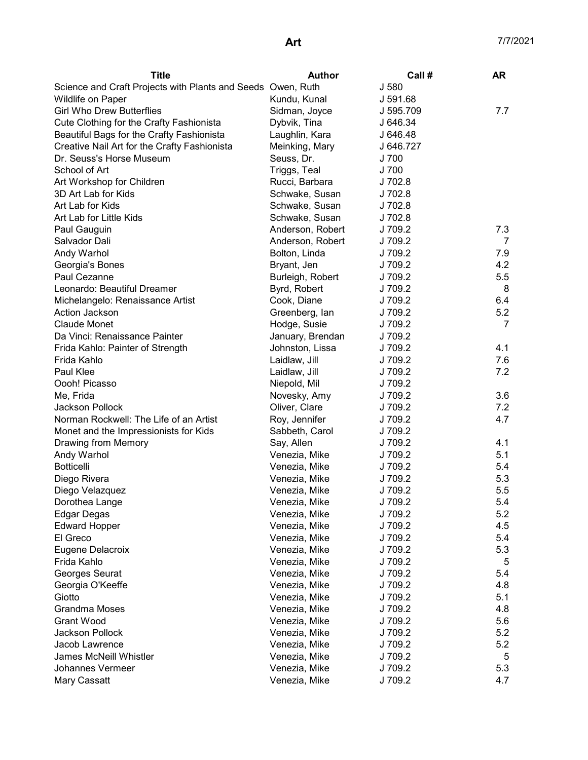| J 580<br>Science and Craft Projects with Plants and Seeds Owen, Ruth<br>Wildlife on Paper<br>Kundu, Kunal<br>J 591.68<br><b>Girl Who Drew Butterflies</b><br>Sidman, Joyce<br>J 595.709<br>7.7<br>Cute Clothing for the Crafty Fashionista<br>J 646.34<br>Dybvik, Tina<br>Beautiful Bags for the Crafty Fashionista<br>Laughlin, Kara<br>J 646.48<br>J 646.727<br>Creative Nail Art for the Crafty Fashionista<br>Meinking, Mary<br>J 700<br>Dr. Seuss's Horse Museum<br>Seuss, Dr.<br>School of Art<br>Triggs, Teal<br>J 700<br>J 702.8<br>Art Workshop for Children<br>Rucci, Barbara<br>3D Art Lab for Kids<br>J 702.8<br>Schwake, Susan<br>Art Lab for Kids<br>J 702.8<br>Schwake, Susan<br>Art Lab for Little Kids<br>Schwake, Susan<br>J 702.8<br>Anderson, Robert<br>J 709.2<br>7.3<br>Paul Gauguin<br>Anderson, Robert<br>J 709.2<br>Salvador Dali<br>7<br>J 709.2<br>7.9<br>Andy Warhol<br>Bolton, Linda<br>J 709.2<br>4.2<br>Georgia's Bones<br>Bryant, Jen<br>5.5<br>Paul Cezanne<br>Burleigh, Robert<br>J 709.2<br>Leonardo: Beautiful Dreamer<br>Byrd, Robert<br>J 709.2<br>8<br>6.4<br>Michelangelo: Renaissance Artist<br>Cook, Diane<br>J 709.2<br>5.2<br><b>Action Jackson</b><br>Greenberg, lan<br>J 709.2<br><b>Claude Monet</b><br>Hodge, Susie<br>J 709.2<br>7<br>Da Vinci: Renaissance Painter<br>January, Brendan<br>J 709.2<br>J 709.2<br>4.1<br>Frida Kahlo: Painter of Strength<br>Johnston, Lissa |
|------------------------------------------------------------------------------------------------------------------------------------------------------------------------------------------------------------------------------------------------------------------------------------------------------------------------------------------------------------------------------------------------------------------------------------------------------------------------------------------------------------------------------------------------------------------------------------------------------------------------------------------------------------------------------------------------------------------------------------------------------------------------------------------------------------------------------------------------------------------------------------------------------------------------------------------------------------------------------------------------------------------------------------------------------------------------------------------------------------------------------------------------------------------------------------------------------------------------------------------------------------------------------------------------------------------------------------------------------------------------------------------------------------------------------|
|                                                                                                                                                                                                                                                                                                                                                                                                                                                                                                                                                                                                                                                                                                                                                                                                                                                                                                                                                                                                                                                                                                                                                                                                                                                                                                                                                                                                                              |
|                                                                                                                                                                                                                                                                                                                                                                                                                                                                                                                                                                                                                                                                                                                                                                                                                                                                                                                                                                                                                                                                                                                                                                                                                                                                                                                                                                                                                              |
|                                                                                                                                                                                                                                                                                                                                                                                                                                                                                                                                                                                                                                                                                                                                                                                                                                                                                                                                                                                                                                                                                                                                                                                                                                                                                                                                                                                                                              |
|                                                                                                                                                                                                                                                                                                                                                                                                                                                                                                                                                                                                                                                                                                                                                                                                                                                                                                                                                                                                                                                                                                                                                                                                                                                                                                                                                                                                                              |
|                                                                                                                                                                                                                                                                                                                                                                                                                                                                                                                                                                                                                                                                                                                                                                                                                                                                                                                                                                                                                                                                                                                                                                                                                                                                                                                                                                                                                              |
|                                                                                                                                                                                                                                                                                                                                                                                                                                                                                                                                                                                                                                                                                                                                                                                                                                                                                                                                                                                                                                                                                                                                                                                                                                                                                                                                                                                                                              |
|                                                                                                                                                                                                                                                                                                                                                                                                                                                                                                                                                                                                                                                                                                                                                                                                                                                                                                                                                                                                                                                                                                                                                                                                                                                                                                                                                                                                                              |
|                                                                                                                                                                                                                                                                                                                                                                                                                                                                                                                                                                                                                                                                                                                                                                                                                                                                                                                                                                                                                                                                                                                                                                                                                                                                                                                                                                                                                              |
|                                                                                                                                                                                                                                                                                                                                                                                                                                                                                                                                                                                                                                                                                                                                                                                                                                                                                                                                                                                                                                                                                                                                                                                                                                                                                                                                                                                                                              |
|                                                                                                                                                                                                                                                                                                                                                                                                                                                                                                                                                                                                                                                                                                                                                                                                                                                                                                                                                                                                                                                                                                                                                                                                                                                                                                                                                                                                                              |
|                                                                                                                                                                                                                                                                                                                                                                                                                                                                                                                                                                                                                                                                                                                                                                                                                                                                                                                                                                                                                                                                                                                                                                                                                                                                                                                                                                                                                              |
|                                                                                                                                                                                                                                                                                                                                                                                                                                                                                                                                                                                                                                                                                                                                                                                                                                                                                                                                                                                                                                                                                                                                                                                                                                                                                                                                                                                                                              |
|                                                                                                                                                                                                                                                                                                                                                                                                                                                                                                                                                                                                                                                                                                                                                                                                                                                                                                                                                                                                                                                                                                                                                                                                                                                                                                                                                                                                                              |
|                                                                                                                                                                                                                                                                                                                                                                                                                                                                                                                                                                                                                                                                                                                                                                                                                                                                                                                                                                                                                                                                                                                                                                                                                                                                                                                                                                                                                              |
|                                                                                                                                                                                                                                                                                                                                                                                                                                                                                                                                                                                                                                                                                                                                                                                                                                                                                                                                                                                                                                                                                                                                                                                                                                                                                                                                                                                                                              |
|                                                                                                                                                                                                                                                                                                                                                                                                                                                                                                                                                                                                                                                                                                                                                                                                                                                                                                                                                                                                                                                                                                                                                                                                                                                                                                                                                                                                                              |
|                                                                                                                                                                                                                                                                                                                                                                                                                                                                                                                                                                                                                                                                                                                                                                                                                                                                                                                                                                                                                                                                                                                                                                                                                                                                                                                                                                                                                              |
|                                                                                                                                                                                                                                                                                                                                                                                                                                                                                                                                                                                                                                                                                                                                                                                                                                                                                                                                                                                                                                                                                                                                                                                                                                                                                                                                                                                                                              |
|                                                                                                                                                                                                                                                                                                                                                                                                                                                                                                                                                                                                                                                                                                                                                                                                                                                                                                                                                                                                                                                                                                                                                                                                                                                                                                                                                                                                                              |
|                                                                                                                                                                                                                                                                                                                                                                                                                                                                                                                                                                                                                                                                                                                                                                                                                                                                                                                                                                                                                                                                                                                                                                                                                                                                                                                                                                                                                              |
|                                                                                                                                                                                                                                                                                                                                                                                                                                                                                                                                                                                                                                                                                                                                                                                                                                                                                                                                                                                                                                                                                                                                                                                                                                                                                                                                                                                                                              |
|                                                                                                                                                                                                                                                                                                                                                                                                                                                                                                                                                                                                                                                                                                                                                                                                                                                                                                                                                                                                                                                                                                                                                                                                                                                                                                                                                                                                                              |
|                                                                                                                                                                                                                                                                                                                                                                                                                                                                                                                                                                                                                                                                                                                                                                                                                                                                                                                                                                                                                                                                                                                                                                                                                                                                                                                                                                                                                              |
| J 709.2<br>7.6<br>Frida Kahlo<br>Laidlaw, Jill                                                                                                                                                                                                                                                                                                                                                                                                                                                                                                                                                                                                                                                                                                                                                                                                                                                                                                                                                                                                                                                                                                                                                                                                                                                                                                                                                                               |
| Paul Klee<br>J 709.2<br>7.2<br>Laidlaw, Jill                                                                                                                                                                                                                                                                                                                                                                                                                                                                                                                                                                                                                                                                                                                                                                                                                                                                                                                                                                                                                                                                                                                                                                                                                                                                                                                                                                                 |
| Oooh! Picasso<br>J 709.2<br>Niepold, Mil                                                                                                                                                                                                                                                                                                                                                                                                                                                                                                                                                                                                                                                                                                                                                                                                                                                                                                                                                                                                                                                                                                                                                                                                                                                                                                                                                                                     |
| 3.6<br>Me, Frida<br>Novesky, Amy<br>J 709.2                                                                                                                                                                                                                                                                                                                                                                                                                                                                                                                                                                                                                                                                                                                                                                                                                                                                                                                                                                                                                                                                                                                                                                                                                                                                                                                                                                                  |
| Jackson Pollock<br>Oliver, Clare<br>J 709.2<br>7.2                                                                                                                                                                                                                                                                                                                                                                                                                                                                                                                                                                                                                                                                                                                                                                                                                                                                                                                                                                                                                                                                                                                                                                                                                                                                                                                                                                           |
| Norman Rockwell: The Life of an Artist<br>Roy, Jennifer<br>J 709.2<br>4.7                                                                                                                                                                                                                                                                                                                                                                                                                                                                                                                                                                                                                                                                                                                                                                                                                                                                                                                                                                                                                                                                                                                                                                                                                                                                                                                                                    |
| Monet and the Impressionists for Kids<br>J 709.2<br>Sabbeth, Carol                                                                                                                                                                                                                                                                                                                                                                                                                                                                                                                                                                                                                                                                                                                                                                                                                                                                                                                                                                                                                                                                                                                                                                                                                                                                                                                                                           |
| Say, Allen<br>J 709.2<br>4.1<br>Drawing from Memory                                                                                                                                                                                                                                                                                                                                                                                                                                                                                                                                                                                                                                                                                                                                                                                                                                                                                                                                                                                                                                                                                                                                                                                                                                                                                                                                                                          |
| J 709.2<br>5.1<br>Andy Warhol<br>Venezia, Mike                                                                                                                                                                                                                                                                                                                                                                                                                                                                                                                                                                                                                                                                                                                                                                                                                                                                                                                                                                                                                                                                                                                                                                                                                                                                                                                                                                               |
| J 709.2<br>5.4<br><b>Botticelli</b><br>Venezia, Mike                                                                                                                                                                                                                                                                                                                                                                                                                                                                                                                                                                                                                                                                                                                                                                                                                                                                                                                                                                                                                                                                                                                                                                                                                                                                                                                                                                         |
| J 709.2<br>5.3<br>Diego Rivera<br>Venezia, Mike                                                                                                                                                                                                                                                                                                                                                                                                                                                                                                                                                                                                                                                                                                                                                                                                                                                                                                                                                                                                                                                                                                                                                                                                                                                                                                                                                                              |
| J 709.2<br>5.5<br>Diego Velazquez<br>Venezia, Mike                                                                                                                                                                                                                                                                                                                                                                                                                                                                                                                                                                                                                                                                                                                                                                                                                                                                                                                                                                                                                                                                                                                                                                                                                                                                                                                                                                           |
| J 709.2<br>5.4<br>Venezia, Mike<br>Dorothea Lange                                                                                                                                                                                                                                                                                                                                                                                                                                                                                                                                                                                                                                                                                                                                                                                                                                                                                                                                                                                                                                                                                                                                                                                                                                                                                                                                                                            |
| 5.2<br>Edgar Degas<br>J 709.2<br>Venezia, Mike                                                                                                                                                                                                                                                                                                                                                                                                                                                                                                                                                                                                                                                                                                                                                                                                                                                                                                                                                                                                                                                                                                                                                                                                                                                                                                                                                                               |
| J 709.2<br>4.5<br><b>Edward Hopper</b><br>Venezia, Mike                                                                                                                                                                                                                                                                                                                                                                                                                                                                                                                                                                                                                                                                                                                                                                                                                                                                                                                                                                                                                                                                                                                                                                                                                                                                                                                                                                      |
| J 709.2<br>5.4<br>El Greco<br>Venezia, Mike                                                                                                                                                                                                                                                                                                                                                                                                                                                                                                                                                                                                                                                                                                                                                                                                                                                                                                                                                                                                                                                                                                                                                                                                                                                                                                                                                                                  |
| J 709.2<br>5.3<br>Eugene Delacroix<br>Venezia, Mike                                                                                                                                                                                                                                                                                                                                                                                                                                                                                                                                                                                                                                                                                                                                                                                                                                                                                                                                                                                                                                                                                                                                                                                                                                                                                                                                                                          |
| J 709.2<br>Frida Kahlo<br>Venezia, Mike<br>5                                                                                                                                                                                                                                                                                                                                                                                                                                                                                                                                                                                                                                                                                                                                                                                                                                                                                                                                                                                                                                                                                                                                                                                                                                                                                                                                                                                 |
| J 709.2<br>Georges Seurat<br>Venezia, Mike<br>5.4                                                                                                                                                                                                                                                                                                                                                                                                                                                                                                                                                                                                                                                                                                                                                                                                                                                                                                                                                                                                                                                                                                                                                                                                                                                                                                                                                                            |
| J 709.2<br>Georgia O'Keeffe<br>Venezia, Mike<br>4.8                                                                                                                                                                                                                                                                                                                                                                                                                                                                                                                                                                                                                                                                                                                                                                                                                                                                                                                                                                                                                                                                                                                                                                                                                                                                                                                                                                          |
| Giotto<br>J 709.2<br>5.1<br>Venezia, Mike                                                                                                                                                                                                                                                                                                                                                                                                                                                                                                                                                                                                                                                                                                                                                                                                                                                                                                                                                                                                                                                                                                                                                                                                                                                                                                                                                                                    |
| Grandma Moses<br>J 709.2<br>Venezia, Mike<br>4.8                                                                                                                                                                                                                                                                                                                                                                                                                                                                                                                                                                                                                                                                                                                                                                                                                                                                                                                                                                                                                                                                                                                                                                                                                                                                                                                                                                             |
| <b>Grant Wood</b><br>J 709.2<br>5.6<br>Venezia, Mike                                                                                                                                                                                                                                                                                                                                                                                                                                                                                                                                                                                                                                                                                                                                                                                                                                                                                                                                                                                                                                                                                                                                                                                                                                                                                                                                                                         |
| <b>Jackson Pollock</b><br>J 709.2<br>5.2<br>Venezia, Mike                                                                                                                                                                                                                                                                                                                                                                                                                                                                                                                                                                                                                                                                                                                                                                                                                                                                                                                                                                                                                                                                                                                                                                                                                                                                                                                                                                    |
| J 709.2<br>Jacob Lawrence<br>Venezia, Mike<br>5.2                                                                                                                                                                                                                                                                                                                                                                                                                                                                                                                                                                                                                                                                                                                                                                                                                                                                                                                                                                                                                                                                                                                                                                                                                                                                                                                                                                            |
| James McNeill Whistler<br>J 709.2<br>5<br>Venezia, Mike                                                                                                                                                                                                                                                                                                                                                                                                                                                                                                                                                                                                                                                                                                                                                                                                                                                                                                                                                                                                                                                                                                                                                                                                                                                                                                                                                                      |
| Johannes Vermeer<br>J 709.2<br>5.3<br>Venezia, Mike                                                                                                                                                                                                                                                                                                                                                                                                                                                                                                                                                                                                                                                                                                                                                                                                                                                                                                                                                                                                                                                                                                                                                                                                                                                                                                                                                                          |
| Mary Cassatt<br>Venezia, Mike<br>J 709.2<br>4.7                                                                                                                                                                                                                                                                                                                                                                                                                                                                                                                                                                                                                                                                                                                                                                                                                                                                                                                                                                                                                                                                                                                                                                                                                                                                                                                                                                              |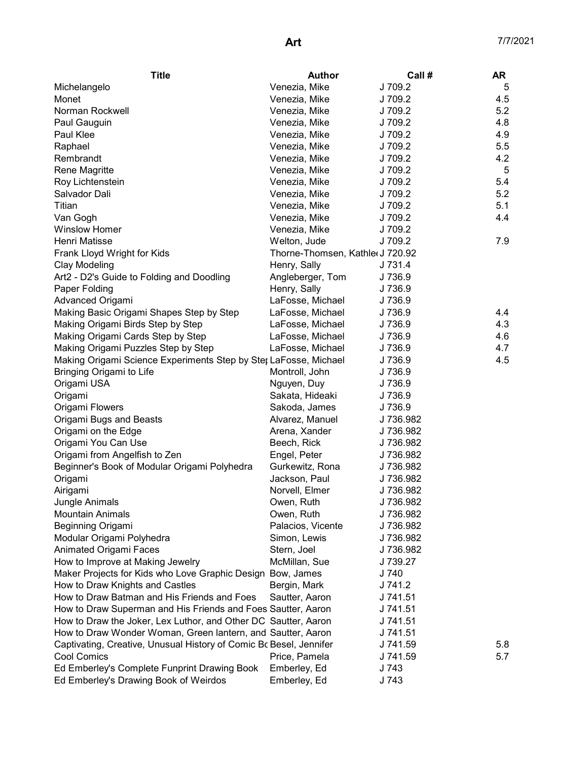| <b>Title</b>                                                       | <b>Author</b>                    | Call#     | <b>AR</b> |
|--------------------------------------------------------------------|----------------------------------|-----------|-----------|
| Michelangelo                                                       | Venezia, Mike                    | J 709.2   | 5         |
| Monet                                                              | Venezia, Mike                    | J 709.2   | 4.5       |
| Norman Rockwell                                                    | Venezia, Mike                    | J 709.2   | 5.2       |
| Paul Gauguin                                                       | Venezia, Mike                    | J 709.2   | 4.8       |
| Paul Klee                                                          | Venezia, Mike                    | J 709.2   | 4.9       |
| Raphael                                                            | Venezia, Mike                    | J 709.2   | 5.5       |
| Rembrandt                                                          | Venezia, Mike                    | J 709.2   | 4.2       |
| Rene Magritte                                                      | Venezia, Mike                    | J 709.2   | 5         |
| Roy Lichtenstein                                                   | Venezia, Mike                    | J 709.2   | 5.4       |
| Salvador Dali                                                      | Venezia, Mike                    | J 709.2   | 5.2       |
| Titian                                                             | Venezia, Mike                    | J 709.2   | 5.1       |
| Van Gogh                                                           | Venezia, Mike                    | J 709.2   | 4.4       |
| <b>Winslow Homer</b>                                               | Venezia, Mike                    | J 709.2   |           |
| Henri Matisse                                                      | Welton, Jude                     | J 709.2   | 7.9       |
| Frank Lloyd Wright for Kids                                        | Thorne-Thomsen, Kathler J 720.92 |           |           |
| <b>Clay Modeling</b>                                               | Henry, Sally                     | J 731.4   |           |
| Art2 - D2's Guide to Folding and Doodling                          | Angleberger, Tom                 | J 736.9   |           |
| Paper Folding                                                      | Henry, Sally                     | J 736.9   |           |
| Advanced Origami                                                   | LaFosse, Michael                 | J 736.9   |           |
| Making Basic Origami Shapes Step by Step                           | LaFosse, Michael                 | J 736.9   | 4.4       |
| Making Origami Birds Step by Step                                  | LaFosse, Michael                 | J 736.9   | 4.3       |
| Making Origami Cards Step by Step                                  | LaFosse, Michael                 | J 736.9   | 4.6       |
| Making Origami Puzzles Step by Step                                | LaFosse, Michael                 | J 736.9   | 4.7       |
| Making Origami Science Experiments Step by Ster LaFosse, Michael   |                                  | J 736.9   | 4.5       |
| Bringing Origami to Life                                           | Montroll, John                   | J 736.9   |           |
| Origami USA                                                        | Nguyen, Duy                      | J 736.9   |           |
| Origami                                                            | Sakata, Hideaki                  | J 736.9   |           |
| Origami Flowers                                                    | Sakoda, James                    | J 736.9   |           |
| Origami Bugs and Beasts                                            | Alvarez, Manuel                  | J 736.982 |           |
| Origami on the Edge                                                | Arena, Xander                    | J 736.982 |           |
| Origami You Can Use                                                | Beech, Rick                      | J 736.982 |           |
| Origami from Angelfish to Zen                                      | Engel, Peter                     | J 736.982 |           |
| Beginner's Book of Modular Origami Polyhedra                       | Gurkewitz, Rona                  | J 736.982 |           |
| Origami                                                            | Jackson, Paul                    | J 736.982 |           |
| Airigami                                                           | Norvell, Elmer                   | J 736.982 |           |
| Jungle Animals                                                     | Owen, Ruth                       | J 736.982 |           |
| <b>Mountain Animals</b>                                            | Owen, Ruth                       | J 736.982 |           |
| Beginning Origami                                                  | Palacios, Vicente                | J 736.982 |           |
| Modular Origami Polyhedra                                          | Simon, Lewis                     | J 736.982 |           |
| Animated Origami Faces                                             | Stern, Joel                      | J 736.982 |           |
| How to Improve at Making Jewelry                                   | McMillan, Sue                    | J 739.27  |           |
| Maker Projects for Kids who Love Graphic Design Bow, James         |                                  | J 740     |           |
| How to Draw Knights and Castles                                    | Bergin, Mark                     | J 741.2   |           |
| How to Draw Batman and His Friends and Foes                        | Sautter, Aaron                   | J 741.51  |           |
| How to Draw Superman and His Friends and Foes Sautter, Aaron       |                                  | J 741.51  |           |
| How to Draw the Joker, Lex Luthor, and Other DC Sautter, Aaron     |                                  | J 741.51  |           |
| How to Draw Wonder Woman, Green lantern, and Sautter, Aaron        |                                  | J 741.51  |           |
| Captivating, Creative, Unusual History of Comic Bc Besel, Jennifer |                                  | J 741.59  | 5.8       |
| Cool Comics                                                        | Price, Pamela                    | J 741.59  | 5.7       |
| Ed Emberley's Complete Funprint Drawing Book                       | Emberley, Ed                     | J 743     |           |
| Ed Emberley's Drawing Book of Weirdos                              | Emberley, Ed                     | J 743     |           |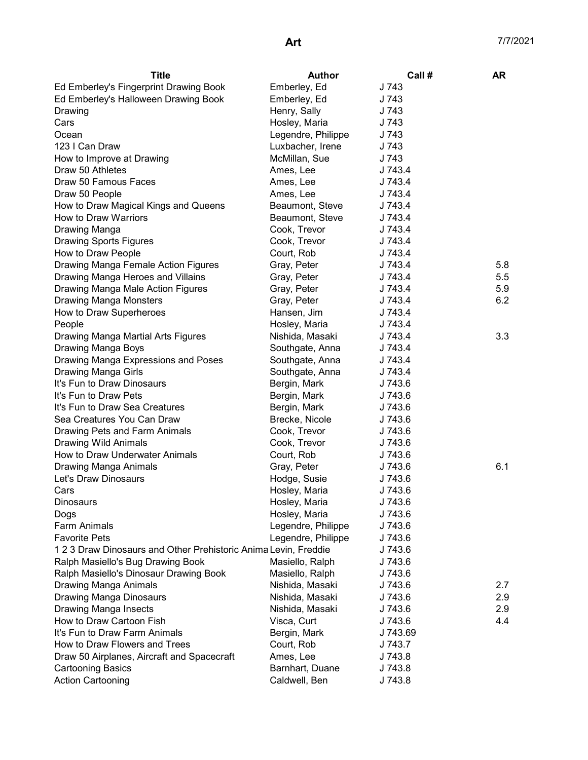| <b>Title</b>                                                  | <b>Author</b>      | Call #   | AR. |
|---------------------------------------------------------------|--------------------|----------|-----|
| Ed Emberley's Fingerprint Drawing Book                        | Emberley, Ed       | J 743    |     |
| Ed Emberley's Halloween Drawing Book                          | Emberley, Ed       | J 743    |     |
| Drawing                                                       | Henry, Sally       | J 743    |     |
| Cars                                                          | Hosley, Maria      | J 743    |     |
| Ocean                                                         | Legendre, Philippe | J 743    |     |
| 123 I Can Draw                                                | Luxbacher, Irene   | J 743    |     |
| How to Improve at Drawing                                     | McMillan, Sue      | J 743    |     |
| Draw 50 Athletes                                              | Ames, Lee          | J 743.4  |     |
| Draw 50 Famous Faces                                          | Ames, Lee          | J 743.4  |     |
| Draw 50 People                                                | Ames, Lee          | J 743.4  |     |
| How to Draw Magical Kings and Queens                          | Beaumont, Steve    | J 743.4  |     |
| How to Draw Warriors                                          | Beaumont, Steve    | J 743.4  |     |
| Drawing Manga                                                 | Cook, Trevor       | J 743.4  |     |
| <b>Drawing Sports Figures</b>                                 | Cook, Trevor       | J 743.4  |     |
| How to Draw People                                            | Court, Rob         | J 743.4  |     |
| Drawing Manga Female Action Figures                           | Gray, Peter        | J 743.4  | 5.8 |
| Drawing Manga Heroes and Villains                             | Gray, Peter        | J 743.4  | 5.5 |
| Drawing Manga Male Action Figures                             | Gray, Peter        | J 743.4  | 5.9 |
| <b>Drawing Manga Monsters</b>                                 | Gray, Peter        | J 743.4  | 6.2 |
| How to Draw Superheroes                                       | Hansen, Jim        | J 743.4  |     |
| People                                                        | Hosley, Maria      | J 743.4  |     |
| Drawing Manga Martial Arts Figures                            | Nishida, Masaki    | J 743.4  | 3.3 |
| Drawing Manga Boys                                            | Southgate, Anna    | J 743.4  |     |
| Drawing Manga Expressions and Poses                           | Southgate, Anna    | J 743.4  |     |
| Drawing Manga Girls                                           | Southgate, Anna    | J 743.4  |     |
| It's Fun to Draw Dinosaurs                                    | Bergin, Mark       | J 743.6  |     |
| It's Fun to Draw Pets                                         | Bergin, Mark       | J 743.6  |     |
| It's Fun to Draw Sea Creatures                                | Bergin, Mark       | J 743.6  |     |
| Sea Creatures You Can Draw                                    | Brecke, Nicole     | J 743.6  |     |
| Drawing Pets and Farm Animals                                 | Cook, Trevor       | J 743.6  |     |
| <b>Drawing Wild Animals</b>                                   | Cook, Trevor       | J 743.6  |     |
| How to Draw Underwater Animals                                | Court, Rob         | J 743.6  |     |
| Drawing Manga Animals                                         | Gray, Peter        | J 743.6  | 6.1 |
| Let's Draw Dinosaurs                                          | Hodge, Susie       | J 743.6  |     |
| Cars                                                          | Hosley, Maria      | J 743.6  |     |
| Dinosaurs                                                     | Hosley, Maria      | J 743.6  |     |
| Dogs                                                          | Hosley, Maria      | J 743.6  |     |
| <b>Farm Animals</b>                                           | Legendre, Philippe | J 743.6  |     |
| <b>Favorite Pets</b>                                          | Legendre, Philippe | J 743.6  |     |
| 123 Draw Dinosaurs and Other Prehistoric Anima Levin, Freddie |                    | J 743.6  |     |
| Ralph Masiello's Bug Drawing Book                             | Masiello, Ralph    | J 743.6  |     |
| Ralph Masiello's Dinosaur Drawing Book                        | Masiello, Ralph    | J 743.6  |     |
| Drawing Manga Animals                                         | Nishida, Masaki    | J 743.6  | 2.7 |
| Drawing Manga Dinosaurs                                       | Nishida, Masaki    | J 743.6  | 2.9 |
| Drawing Manga Insects                                         | Nishida, Masaki    | J 743.6  | 2.9 |
| How to Draw Cartoon Fish                                      | Visca, Curt        | J 743.6  | 4.4 |
| It's Fun to Draw Farm Animals                                 | Bergin, Mark       | J 743.69 |     |
| How to Draw Flowers and Trees                                 | Court, Rob         | J 743.7  |     |
| Draw 50 Airplanes, Aircraft and Spacecraft                    | Ames, Lee          | J 743.8  |     |
| <b>Cartooning Basics</b>                                      | Barnhart, Duane    | J 743.8  |     |
| <b>Action Cartooning</b>                                      | Caldwell, Ben      | J 743.8  |     |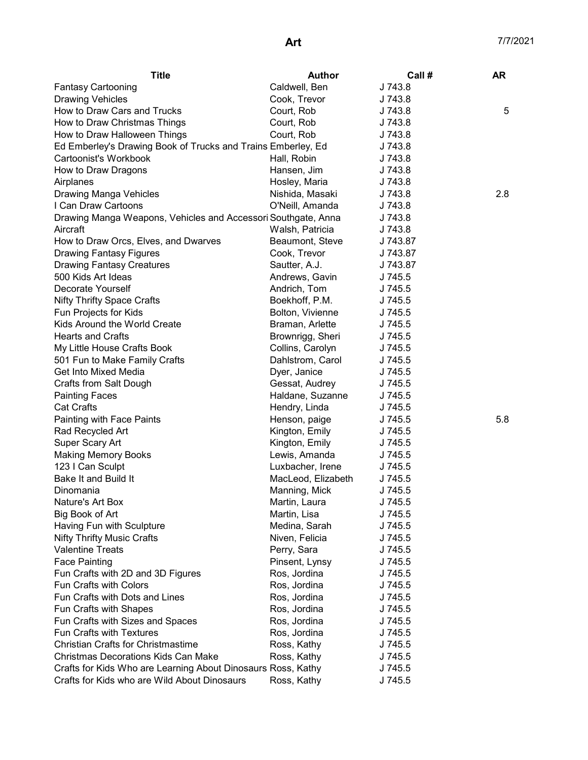| <b>Title</b>                                                  | Author                     | Call #   | <b>AR</b> |
|---------------------------------------------------------------|----------------------------|----------|-----------|
| <b>Fantasy Cartooning</b>                                     | Caldwell, Ben              | J 743.8  |           |
| <b>Drawing Vehicles</b>                                       | Cook, Trevor               | J 743.8  |           |
| How to Draw Cars and Trucks                                   | Court, Rob                 | J 743.8  | 5         |
| How to Draw Christmas Things                                  | Court, Rob                 | J 743.8  |           |
| How to Draw Halloween Things                                  | Court, Rob                 | J 743.8  |           |
| Ed Emberley's Drawing Book of Trucks and Trains Emberley, Ed  |                            | J 743.8  |           |
| Cartoonist's Workbook                                         | Hall, Robin                | J 743.8  |           |
| How to Draw Dragons                                           | Hansen, Jim                | J 743.8  |           |
| Airplanes                                                     | Hosley, Maria              | J 743.8  |           |
| Drawing Manga Vehicles                                        | Nishida, Masaki            | J 743.8  | 2.8       |
| I Can Draw Cartoons                                           | O'Neill, Amanda            | J 743.8  |           |
| Drawing Manga Weapons, Vehicles and Accessori Southgate, Anna |                            | J 743.8  |           |
| Aircraft                                                      | Walsh, Patricia            | J 743.8  |           |
| How to Draw Orcs, Elves, and Dwarves                          | Beaumont, Steve            | J 743.87 |           |
| <b>Drawing Fantasy Figures</b>                                | Cook, Trevor               | J 743.87 |           |
| <b>Drawing Fantasy Creatures</b>                              | Sautter, A.J.              | J 743.87 |           |
| 500 Kids Art Ideas                                            | Andrews, Gavin             | J 745.5  |           |
| Decorate Yourself                                             | Andrich, Tom               | J 745.5  |           |
| <b>Nifty Thrifty Space Crafts</b>                             | Boekhoff, P.M.             | J 745.5  |           |
| Fun Projects for Kids                                         | Bolton, Vivienne           | J 745.5  |           |
| Kids Around the World Create                                  | Braman, Arlette            | J 745.5  |           |
| <b>Hearts and Crafts</b>                                      | Brownrigg, Sheri           | J 745.5  |           |
| My Little House Crafts Book                                   | Collins, Carolyn           | J 745.5  |           |
| 501 Fun to Make Family Crafts                                 | Dahlstrom, Carol           | J 745.5  |           |
| Get Into Mixed Media                                          | Dyer, Janice               | J 745.5  |           |
| Crafts from Salt Dough                                        | Gessat, Audrey             | J 745.5  |           |
| <b>Painting Faces</b>                                         | Haldane, Suzanne           | J 745.5  |           |
| <b>Cat Crafts</b>                                             | Hendry, Linda              | J 745.5  |           |
| Painting with Face Paints                                     | Henson, paige              | J 745.5  | 5.8       |
| Rad Recycled Art                                              | Kington, Emily             | J 745.5  |           |
| Super Scary Art                                               | Kington, Emily             | J 745.5  |           |
| <b>Making Memory Books</b>                                    | Lewis, Amanda J745.5       |          |           |
| 123 I Can Sculpt                                              | Luxbacher, Irene J 745.5   |          |           |
| Bake It and Build It                                          | MacLeod, Elizabeth J 745.5 |          |           |
| Dinomania                                                     | Manning, Mick              | J 745.5  |           |
| Nature's Art Box                                              | Martin, Laura              | J 745.5  |           |
| Big Book of Art                                               | Martin, Lisa               | J 745.5  |           |
|                                                               |                            | J 745.5  |           |
| Having Fun with Sculpture                                     | Medina, Sarah              |          |           |
| <b>Nifty Thrifty Music Crafts</b><br><b>Valentine Treats</b>  | Niven, Felicia             | J 745.5  |           |
|                                                               | Perry, Sara                | J 745.5  |           |
| <b>Face Painting</b>                                          | Pinsent, Lynsy             | J 745.5  |           |
| Fun Crafts with 2D and 3D Figures                             | Ros, Jordina               | J 745.5  |           |
| Fun Crafts with Colors                                        | Ros, Jordina               | J 745.5  |           |
| Fun Crafts with Dots and Lines                                | Ros, Jordina               | J 745.5  |           |
| Fun Crafts with Shapes                                        | Ros, Jordina               | J 745.5  |           |
| Fun Crafts with Sizes and Spaces                              | Ros, Jordina               | J 745.5  |           |
| Fun Crafts with Textures                                      | Ros, Jordina               | J 745.5  |           |
| <b>Christian Crafts for Christmastime</b>                     | Ross, Kathy                | J 745.5  |           |
| <b>Christmas Decorations Kids Can Make</b>                    | Ross, Kathy                | J 745.5  |           |
| Crafts for Kids Who are Learning About Dinosaurs Ross, Kathy  |                            | J 745.5  |           |
| Crafts for Kids who are Wild About Dinosaurs                  | Ross, Kathy                | J 745.5  |           |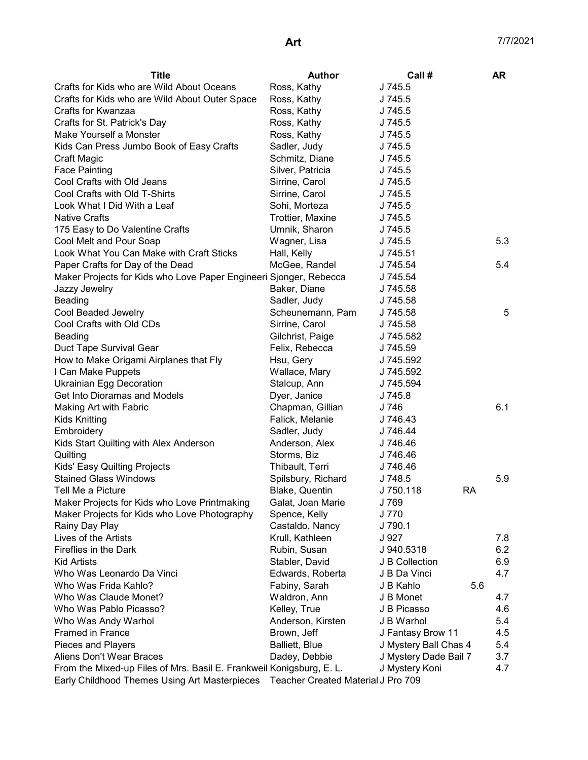| Title                                                                | <b>Author</b>                      | Call#                 | <b>AR</b> |
|----------------------------------------------------------------------|------------------------------------|-----------------------|-----------|
| Crafts for Kids who are Wild About Oceans                            | Ross, Kathy                        | J 745.5               |           |
| Crafts for Kids who are Wild About Outer Space                       | Ross, Kathy                        | J 745.5               |           |
| Crafts for Kwanzaa                                                   | Ross, Kathy                        | J 745.5               |           |
| Crafts for St. Patrick's Day                                         | Ross, Kathy                        | J 745.5               |           |
| Make Yourself a Monster                                              | Ross, Kathy                        | J 745.5               |           |
| Kids Can Press Jumbo Book of Easy Crafts                             | Sadler, Judy                       | J 745.5               |           |
| Craft Magic                                                          | Schmitz, Diane                     | J 745.5               |           |
| <b>Face Painting</b>                                                 | Silver, Patricia                   | J 745.5               |           |
| Cool Crafts with Old Jeans                                           | Sirrine, Carol                     | J 745.5               |           |
| Cool Crafts with Old T-Shirts                                        | Sirrine, Carol                     | J 745.5               |           |
| Look What I Did With a Leaf                                          | Sohi, Morteza                      | J 745.5               |           |
| <b>Native Crafts</b>                                                 | Trottier, Maxine                   | J 745.5               |           |
| 175 Easy to Do Valentine Crafts                                      | Umnik, Sharon                      | J 745.5               |           |
| Cool Melt and Pour Soap                                              | Wagner, Lisa                       | J 745.5               | 5.3       |
| Look What You Can Make with Craft Sticks                             | Hall, Kelly                        | J 745.51              |           |
| Paper Crafts for Day of the Dead                                     | McGee, Randel                      | J 745.54              | 5.4       |
| Maker Projects for Kids who Love Paper Engineeri Sjonger, Rebecca    |                                    | J 745.54              |           |
| Jazzy Jewelry                                                        | Baker, Diane                       | J 745.58              |           |
| <b>Beading</b>                                                       | Sadler, Judy                       | J 745.58              |           |
| Cool Beaded Jewelry                                                  | Scheunemann, Pam                   | J 745.58              | 5         |
| Cool Crafts with Old CDs                                             | Sirrine, Carol                     | J 745.58              |           |
| <b>Beading</b>                                                       | Gilchrist, Paige                   | J 745.582             |           |
|                                                                      | Felix, Rebecca                     |                       |           |
| Duct Tape Survival Gear                                              |                                    | J 745.59              |           |
| How to Make Origami Airplanes that Fly                               | Hsu, Gery                          | J 745.592             |           |
| I Can Make Puppets                                                   | Wallace, Mary                      | J 745.592             |           |
| <b>Ukrainian Egg Decoration</b>                                      | Stalcup, Ann                       | J 745.594             |           |
| Get Into Dioramas and Models                                         | Dyer, Janice                       | J 745.8               |           |
| Making Art with Fabric                                               | Chapman, Gillian                   | J 746                 | 6.1       |
| <b>Kids Knitting</b>                                                 | Falick, Melanie                    | J 746.43              |           |
| Embroidery                                                           | Sadler, Judy                       | J 746.44              |           |
| Kids Start Quilting with Alex Anderson                               | Anderson, Alex                     | J 746.46              |           |
| Quilting                                                             | Storms, Biz                        | J 746.46              |           |
| Kids' Easy Quilting Projects                                         | Thibault, Terri                    | J 746.46              |           |
| <b>Stained Glass Windows</b>                                         | Spilsbury, Richard                 | J 748.5               | 5.9       |
| Tell Me a Picture                                                    | Blake, Quentin                     | J 750.118<br>RA       |           |
| Maker Projects for Kids who Love Printmaking                         | Galat, Joan Marie                  | J 769                 |           |
| Maker Projects for Kids who Love Photography                         | Spence, Kelly                      | J 770                 |           |
| Rainy Day Play                                                       | Castaldo, Nancy                    | J 790.1               |           |
| Lives of the Artists                                                 | Krull, Kathleen                    | J 927                 | 7.8       |
| Fireflies in the Dark                                                | Rubin, Susan                       | J 940.5318            | 6.2       |
| <b>Kid Artists</b>                                                   | Stabler, David                     | J B Collection        | 6.9       |
| Who Was Leonardo Da Vinci                                            | Edwards, Roberta                   | J B Da Vinci          | 4.7       |
| Who Was Frida Kahlo?                                                 | Fabiny, Sarah                      | J B Kahlo<br>5.6      |           |
| Who Was Claude Monet?                                                | Waldron, Ann                       | J B Monet             | 4.7       |
| Who Was Pablo Picasso?                                               | Kelley, True                       | J B Picasso           | 4.6       |
| Who Was Andy Warhol                                                  | Anderson, Kirsten                  | J B Warhol            | 5.4       |
| <b>Framed in France</b>                                              | Brown, Jeff                        | J Fantasy Brow 11     | 4.5       |
| Pieces and Players                                                   | <b>Balliett, Blue</b>              | J Mystery Ball Chas 4 | 5.4       |
| Aliens Don't Wear Braces                                             | Dadey, Debbie                      | J Mystery Dade Bail 7 | 3.7       |
| From the Mixed-up Files of Mrs. Basil E. Frankweil Konigsburg, E. L. |                                    | J Mystery Koni        | 4.7       |
| Early Childhood Themes Using Art Masterpieces                        | Teacher Created Material J Pro 709 |                       |           |